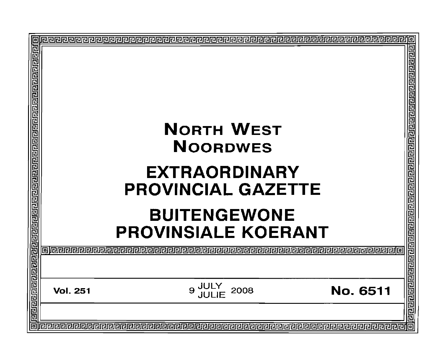| <u>गवनगवान मानवान मानवान मानवान का पानि का नागण मानवान का जानवान का जान</u> | <b>NORTH WEST</b><br><b>NOORDWES</b>                          | 리 <u>리디디</u> 리리<br>리리리                       |
|-----------------------------------------------------------------------------|---------------------------------------------------------------|----------------------------------------------|
|                                                                             |                                                               | 민리민민                                         |
|                                                                             | <b>EXTRAORDINARY</b>                                          |                                              |
|                                                                             | <b>PROVINCIAL GAZETTE</b>                                     | विद्ययन संविधि क्षेत्र प्रविद्य प्रविद्ययन क |
|                                                                             | <b>BUITENGEWONE</b>                                           |                                              |
|                                                                             | <b>PROVINSIALE KOERANT</b>                                    |                                              |
|                                                                             | ING SEPERTEMBER DE<br>122222222222222222222222222             |                                              |
|                                                                             |                                                               |                                              |
|                                                                             | 9 JULY<br>JULIE<br><b>No. 6511</b><br>2008<br><b>Vol. 251</b> |                                              |
|                                                                             |                                                               |                                              |
|                                                                             |                                                               | 靣                                            |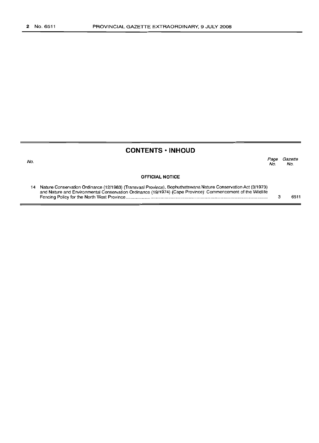No.

### **CONTENTS • INHOUD**

Page Gazette No. No.

#### **OFFICIAL NOTICE**

| 14 Nature Conservation Ordinance (12/1983) (Transvaal Province), Bophuthatswana Nature Conservation Act (3/1973) |      |
|------------------------------------------------------------------------------------------------------------------|------|
| and Nature and Environmental Conservation Ordinance (19/1974) (Cape Province): Commencement of the Wildlife      |      |
|                                                                                                                  | 6511 |